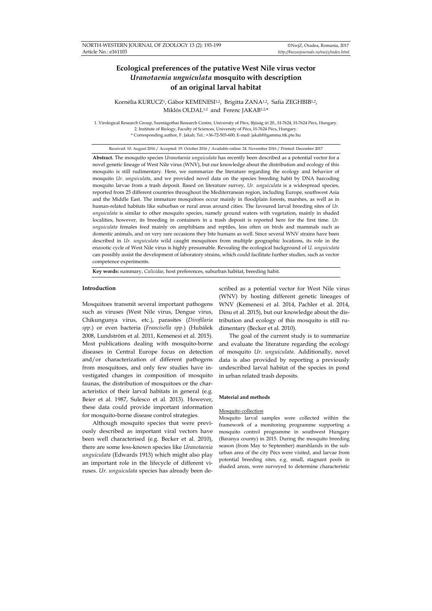# **Ecological preferences of the putative West Nile virus vector**  *Uranotaenia unguiculata* **mosquito with description of an original larval habitat**

Kornélia KURUCZ<sup>1</sup>, Gábor KEMENESI<sup>1,2</sup>, Brigitta ZANA<sup>1,2</sup>, Safia ZEGHBIB<sup>1,2</sup>, Miklós OLDAL1,2 and Ferenc JAKAB1,2,\*

1. Virological Research Group, Szentágothai Research Centre, University of Pécs, Ifjúság út 20., H-7624, H-7624 Pécs, Hungary. 2. Institute of Biology, Faculty of Sciences, University of Pécs, H-7624 Pécs, Hungary. \* Corresponding author, F. Jakab, Tel.: +36-72-503-600, E-mail: jakabf@gamma.ttk.pte.hu

Received: 10. August 2016 / Accepted: 19. October 2016 / Available online: 24. November 2016 / Printed: December 2017

**Abstract.** The mosquito species *Uranotaenia unguiculata* has recently been described as a potential vector for a novel genetic lineage of West Nile virus (WNV), but our knowledge about the distribution and ecology of this mosquito is still rudimentary. Here, we summarize the literature regarding the ecology and behavior of mosquito *Ur. unguiculata*, and we provided novel data on the species breeding habit by DNA barcoding mosquito larvae from a trash deposit. Based on literature survey, *Ur. unguiculata* is a widespread species, reported from 25 different countries throughout the Mediterranean region, including Europe, southwest Asia and the Middle East. The immature mosquitoes occur mainly in floodplain forests, marshes, as well as in human-related habitats like suburban or rural areas around cities. The favoured larval breeding sites of *Ur. unguiculata* is similar to other mosquito species, namely ground waters with vegetation, mainly in shaded localities, however, its breeding in containers in a trash deposit is reported here for the first time. *Ur. unguiculata* females feed mainly on amphibians and reptiles, less often on birds and mammals such as domestic animals, and on very rare occasions they bite humans as well. Since several WNV strains have been described in *Ur. unguiculata* wild caught mosquitoes from multiple geographic locations, its role in the enzootic cycle of West Nile virus is highly presumable. Revealing the ecological background of *U. unguiculata* can possibly assist the development of laboratory strains, which could facilitate further studies, such as vector competence experiments.

**Key words:** summary, *Culicidae*, host preferences, suburban habitat, breeding habit.

# **Introduction**

Mosquitoes transmit several important pathogens such as viruses (West Nile virus, Dengue virus, Chikungunya virus, etc.), parasites (*Dirofilaria spp*.) or even bacteria (*Francisella spp*.) (Hubálek 2008, Lundström et al. 2011, Kemenesi et al. 2015). Most publications dealing with mosquito-borne diseases in Central Europe focus on detection and/or characterization of different pathogens from mosquitoes, and only few studies have investigated changes in composition of mosquito faunas, the distribution of mosquitoes or the characteristics of their larval habitats in general (e.g. Beier et al. 1987, Sulesco et al. 2013). However, these data could provide important information for mosquito-borne disease control strategies.

Although mosquito species that were previously described as important viral vectors have been well characterised (e.g. Becker et al. 2010), there are some less-known species like *Uranotaenia unguiculata* (Edwards 1913) which might also play an important role in the lifecycle of different viruses. *Ur. unguiculata* species has already been de-

scribed as a potential vector for West Nile virus (WNV) by hosting different genetic lineages of WNV (Kemenesi et al. 2014, Pachler et al. 2014, Dinu et al. 2015), but our knowledge about the distribution and ecology of this mosquito is still rudimentary (Becker et al. 2010).

The goal of the current study is to summarize and evaluate the literature regarding the ecology of mosquito *Ur. unguiculata*. Additionally, novel data is also provided by reporting a previously undescribed larval habitat of the species in pond in urban related trash deposits.

#### **Material and methods**

### Mosquito collection

Mosquito larval samples were collected within the framework of a monitoring programme supporting a mosquito control programme in southwest Hungary (Baranya county) in 2015. During the mosquito breeding season (from May to September) marshlands in the suburban area of the city Pécs were visited, and larvae from potential breeding sites, e.g. small, stagnant pools in shaded areas, were surveyed to determine characteristic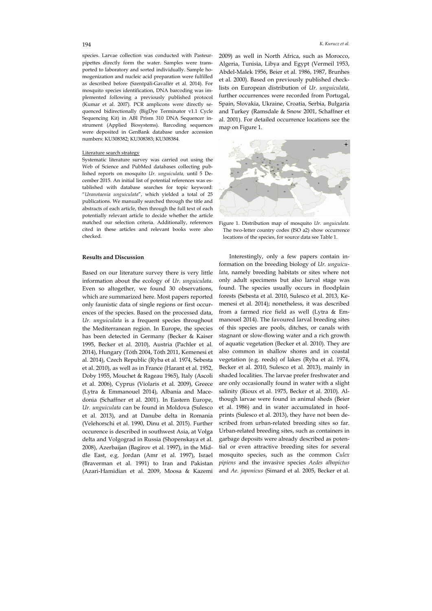species. Larvae collection was conducted with Pasteurpipettes directly form the water. Samples were transported to laboratory and sorted individually. Sample homogenization and nucleic acid preparation were fulfilled as described before (Szentpáli-Gavallér et al. 2014). For mosquito species identification, DNA barcoding was implemented following a previously published protocol (Kumar et al. 2007). PCR amplicons were directly sequenced bidirectionally (BigDye Terminator v1.1 Cycle Sequencing Kit) in ABI Prism 310 DNA Sequencer instrument (Applied Biosystems). Barcoding sequences were deposited in GenBank database under accession numbers: KU308382; KU308383; KU308384.

# Literature search strategy

Systematic literature survey was carried out using the Web of Science and PubMed databases collecting published reports on mosquito *Ur. unguiculata,* until 5 December 2015*.* An initial list of potential references was established with database searches for topic keyword: "*Uranotaenia unguiculata*", which yielded a total of 25 publications. We manually searched through the title and abstracts of each article, then through the full text of each potentially relevant article to decide whether the article matched our selection criteria. Additionally, references cited in these articles and relevant books were also checked.

# **Results and Discussion**

Based on our literature survey there is very little information about the ecology of *Ur. unguiculata*. Even so altogether, we found 30 observations, which are summarized here. Most papers reported only faunistic data of single regions or first occurences of the species. Based on the processed data, *Ur. unguiculata* is a frequent species throughout the Mediterranean region. In Europe, the species has been detected in Germany (Becker & Kaiser 1995, Becker et al. 2010), Austria (Pachler et al. 2014), Hungary (Tóth 2004, Tóth 2011, Kemenesi et al. 2014), Czech Republic (Ryba et al. 1974, Sebesta et al. 2010), as well as in France (Harant et al. 1952, Doby 1955, Mouchet & Rageau 1965), Italy (Ascoli et al. 2006), Cyprus (Violaris et al. 2009), Greece (Lytra & Emmanouel 2014), Albania and Macedonia (Schaffner et al. 2001). In Eastern Europe, *Ur. unguiculata* can be found in Moldova (Sulesco et al. 2013), and at Danube delta in Romania (Velehorschi et al. 1990, Dinu et al. 2015). Further occurence is described in southwest Asia, at Volga delta and Volgograd in Russia (Shopenskaya et al. 2008), Azerbaijan (Bagirov et al. 1997), in the Middle East, e.g. Jordan (Amr et al. 1997), Israel (Braverman et al. 1991) to Iran and Pakistan (Azari-Hamidian et al. 2009, Moosa & Kazemi 2009) as well in North Africa, such as Morocco, Algeria, Tunisia, Libya and Egypt (Vermeil 1953, Abdel-Malek 1956, Beier et al. 1986, 1987, Brunhes et al. 2000). Based on previously published checklists on European distribution of *Ur. unguiculata,* further occurrences were recorded from Portugal, Spain, Slovakia, Ukraine, Croatia, Serbia, Bulgaria and Turkey (Ramsdale & Snow 2001, Schaffner et al. 2001). For detailed occurrence locations see the map on Figure 1.



Figure 1. Distribution map of mosquito *Ur. unguiculata*. The two-letter country codes (ISO a2) show occurrence locations of the species, for source data see Table 1.

Interestingly, only a few papers contain information on the breeding biology of *Ur. unguiculata*, namely breeding habitats or sites where not only adult specimens but also larval stage was found. The species usually occurs in floodplain forests (Sebesta et al. 2010, Sulesco et al. 2013, Kemenesi et al. 2014); nonetheless, it was described from a farmed rice field as well (Lytra & Emmanouel 2014). The favoured larval breeding sites of this species are pools, ditches, or canals with stagnant or slow-flowing water and a rich growth of aquatic vegetation (Becker et al. 2010). They are also common in shallow shores and in coastal vegetation (e.g. reeds) of lakes (Ryba et al. 1974, Becker et al. 2010, Sulesco et al. 2013), mainly in shaded localities. The larvae prefer freshwater and are only occasionally found in water with a slight salinity (Rioux et al. 1975, Becker et al. 2010). Although larvae were found in animal sheds (Beier et al. 1986) and in water accumulated in hoofprints (Sulesco et al. 2013), they have not been described from urban-related breeding sites so far. Urban-related breeding sites, such as containers in garbage deposits were already described as potential or even attractive breeding sites for several mosquito species, such as the common *Culex pipiens* and the invasive species *Aedes albopictus*  and *Ae. japonicus* (Simard et al. 2005, Becker et al.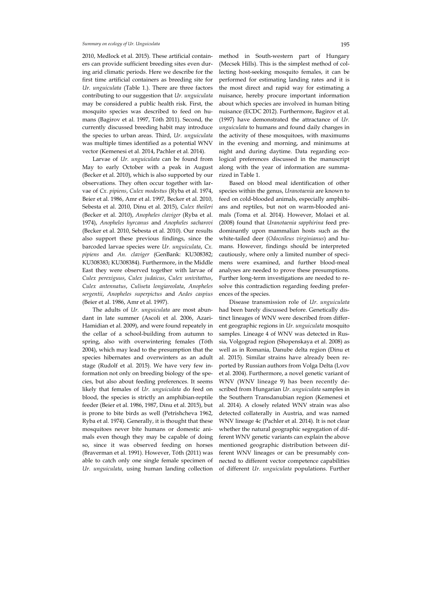# *Summary on ecology of Ur. Unguiculata* 195

2010, Medlock et al. 2015). These artificial containers can provide sufficient breeding sites even during arid climatic periods. Here we describe for the first time artificial containers as breeding site for *Ur. unguiculata* (Table 1.). There are three factors contributing to our suggestion that *Ur. unguiculata* may be considered a public health risk. First, the mosquito species was described to feed on humans (Bagirov et al. 1997, Tóth 2011). Second, the currently discussed breeding habit may introduce the species to urban areas. Third, *Ur. unguiculata* was multiple times identified as a potential WNV vector (Kemenesi et al. 2014, Pachler et al. 2014).

Larvae of *Ur. unguiculata* can be found from May to early October with a peak in August (Becker et al. 2010), which is also supported by our observations. They often occur together with larvae of *Cx. pipiens*, *Culex modestus* (Ryba et al. 1974, Beier et al. 1986, Amr et al. 1997, Becker et al. 2010, Sebesta et al. 2010, Dinu et al. 2015), *Culex theileri* (Becker et al. 2010), *Anopheles claviger* (Ryba et al. 1974), *Anopheles hyrcanus* and *Anopheles sacharovi* (Becker et al. 2010, Sebesta et al. 2010). Our results also support these previous findings, since the barcoded larvae species were *Ur. unguiculata*, *Cx. pipiens* and *An. claviger* (GenBank: KU308382; KU308383; KU308384). Furthermore, in the Middle East they were observed together with larvae of *Culex perexiguus*, *Culex judaicus*, *Culex univitattus*, *Culex antennatus*, *Culiseta longiareolata*, *Anopheles sergentii*, *Anopheles superpictus* and *Aedes caspius* (Beier et al. 1986, Amr et al. 1997).

The adults of *Ur. unguiculata* are most abundant in late summer (Ascoli et al. 2006, Azari-Hamidian et al. 2009), and were found repeately in the cellar of a school-building from autumn to spring, also with overwintering females (Tóth 2004), which may lead to the presumption that the species hibernates and overwinters as an adult stage (Rudolf et al. 2015). We have very few information not only on breeding biology of the species, but also about feeding preferences. It seems likely that females of *Ur. unguiculata* do feed on blood, the species is strictly an amphibian-reptile feeder (Beier et al. 1986, 1987, Dinu et al. 2015), but is prone to bite birds as well (Petrishcheva 1962, Ryba et al. 1974). Generally, it is thought that these mosquitoes never bite humans or domestic animals even though they may be capable of doing so, since it was observed feeding on horses (Braverman et al. 1991). However, Tóth (2011) was able to catch only one single female specimen of *Ur. unguiculata*, using human landing collection

method in South-western part of Hungary (Mecsek Hills). This is the simplest method of collecting host-seeking mosquito females, it can be performed for estimating landing rates and it is the most direct and rapid way for estimating a nuisance, hereby procure important information about which species are involved in human biting nuisance (ECDC 2012). Furthermore, Bagirov et al. (1997) have demonstrated the attractance of *Ur. unguiculata* to humans and found daily changes in the activity of these mosquitoes, with maximums in the evening and morning, and minimums at night and during daytime. Data regarding ecological preferences discussed in the manuscript along with the year of information are summarized in Table 1.

Based on blood meal identification of other species within the genus, *Uranotaenia* are known to feed on cold-blooded animals, especially amphibians and reptiles, but not on warm-blooded animals (Toma et al. 2014). However, Molaei et al. (2008) found that *Uranotaenia sapphirina* feed predominantly upon mammalian hosts such as the white-tailed deer (*Odocoileus virginianus*) and humans. However, findings should be interpreted cautiously, where only a limited number of specimens were examined, and further blood-meal analyses are needed to prove these presumptions. Further long-term investigations are needed to resolve this contradiction regarding feeding preferences of the species.

Disease transmission role of *Ur. unguiculata* had been barely discussed before. Genetically distinct lineages of WNV were described from different geographic regions in *Ur. unguiculata* mosquito samples. Lineage 4 of WNV was detected in Russia, Volgograd region (Shopenskaya et al. 2008) as well as in Romania, Danube delta region (Dinu et al. 2015). Similar strains have already been reported by Russian authors from Volga Delta (Lvov et al. 2004). Furthermore, a novel genetic variant of WNV (WNV lineage 9) has been recently described from Hungarian *Ur. unguiculata* samples in the Southern Transdanubian region (Kemenesi et al. 2014). A closely related WNV strain was also detected collaterally in Austria, and was named WNV lineage 4c (Pachler et al. 2014). It is not clear whether the natural geographic segregation of different WNV genetic variants can explain the above mentioned geographic distribution between different WNV lineages or can be presumably connected to different vector competence capabilities of different *Ur. unguiculata* populations. Further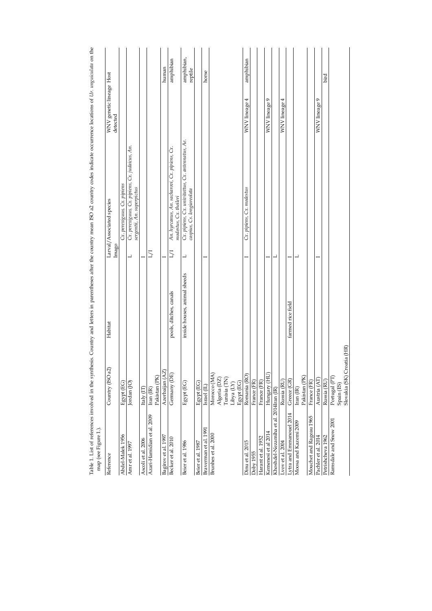| map (see Figure 1.).<br>Reference      | Country (ISO a2)                                                                  | Habitat                      | Imago          | Larval/Associated species                                                       | WNV genetic lineage Host<br>detected |                       |
|----------------------------------------|-----------------------------------------------------------------------------------|------------------------------|----------------|---------------------------------------------------------------------------------|--------------------------------------|-----------------------|
| Abdel-Malek 1956                       | Egypt (EG)                                                                        |                              |                | Cx. perexiguus, Cx. pipiens                                                     |                                      |                       |
| Amr et al. 1997                        | Jordan (JO)                                                                       |                              | L              | Cx. perexiguus, Cx. pipiens, Cx. judaicus, An.<br>sergentii, An. superpictus    |                                      |                       |
| Ascoli et al. 2006                     | Italy $(\text{II})$                                                               |                              | $\overline{a}$ |                                                                                 |                                      |                       |
| Azari-Hamidian et al. 2009             | Pakistan (PK)<br>Iran (IR)                                                        |                              | $\overline{L}$ |                                                                                 |                                      |                       |
| Bagirov et al. 1997                    | Azerbaijan (AZ)                                                                   |                              | $\overline{a}$ |                                                                                 |                                      | human                 |
| Becker et al. 2010                     | Germany (DE)                                                                      | pools, ditches, canals       | 1/1            | An. hyrcanus, An. sacharovi, Cx. pipiens, Cx.<br>modestus, Cx. theileri         |                                      | amphibian             |
| Beier et al. 1986                      | Egypt (EG)                                                                        | inside houses, animal sheeds | ┙              | Cx. pipiens, Cx. univitattus, Cx. antennatus, Ae.<br>caspius, Cs. longiareolata |                                      | amphibian,<br>reptile |
| Beier et al. 1987                      | Egypt (EG)                                                                        |                              |                |                                                                                 |                                      |                       |
| Braverman et al. 1991                  | Israel (IL)                                                                       |                              |                |                                                                                 |                                      | horse                 |
| Brunhes et al. 2000                    | Morocco (MA)                                                                      |                              |                |                                                                                 |                                      |                       |
|                                        |                                                                                   |                              |                |                                                                                 |                                      |                       |
|                                        | $\begin{array}{lcl} \Delta & \mbox{geria (DZ)}\\ \mbox{Tunisia (TN)} \end{array}$ |                              |                |                                                                                 |                                      |                       |
|                                        | Libya (LY)                                                                        |                              |                |                                                                                 |                                      |                       |
|                                        | Egypt (EG)                                                                        |                              |                |                                                                                 |                                      |                       |
| Dinu et al. 2015                       | Romania (RO)                                                                      |                              |                | Cx. pipiens, Cx. modestus                                                       | WNV lineage 4                        | amphibian             |
| Doby 1955                              | France (FR)                                                                       |                              |                |                                                                                 |                                      |                       |
| Harant et al. 1952                     | France (FR)                                                                       |                              |                |                                                                                 |                                      |                       |
| Kemenesi et al 2014                    | Hungary (HU)                                                                      |                              | ⊣              |                                                                                 | WNV lineage 9                        |                       |
| Khoshdel-Nezamiha et al. 2014Iran (IR) |                                                                                   |                              | 凵              |                                                                                 |                                      |                       |
| Lvov et al. 2004                       | Russia (RU)                                                                       |                              |                |                                                                                 | WNV lineage 4                        |                       |
| Lytra and Emmanouel 2014               | Greece (GR)                                                                       | farmed rice field            |                |                                                                                 |                                      |                       |
| Moosa and Kazemi 2009                  | $\mbox{Iran}\,(\mathbb{IR})$                                                      |                              | ┙              |                                                                                 |                                      |                       |
|                                        | Pakistan (PK)                                                                     |                              |                |                                                                                 |                                      |                       |
| Mouchet and Rageau 1965                | France (FR)                                                                       |                              |                |                                                                                 |                                      |                       |
| Pachler et al. 2014                    | Austria (AT                                                                       |                              |                |                                                                                 | WNV lineage 9                        |                       |
| Petrishcheva 1962                      | Russia (RU)                                                                       |                              |                |                                                                                 |                                      | bird                  |
| Ramsdale and Snow 2001                 | Portugal (PT)                                                                     |                              |                |                                                                                 |                                      |                       |
|                                        | Spain (ES)<br>Slovakia (SK) Croatia (HR)                                          |                              |                |                                                                                 |                                      |                       |
|                                        |                                                                                   |                              |                |                                                                                 |                                      |                       |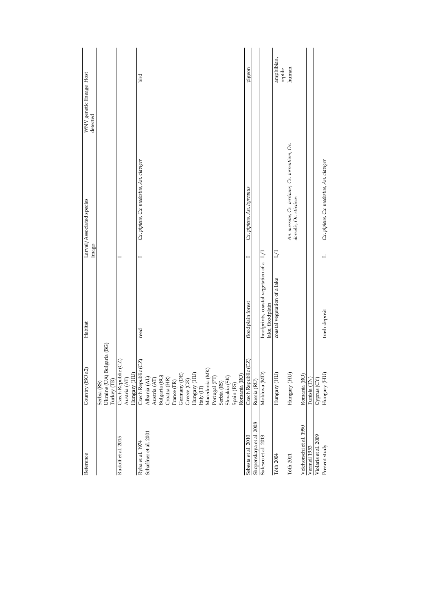| Reference               | Country (ISO a2)                                                    | Habitat                                                 |       | Larval/Associated species                                                  | WNV genetic lineage Host |
|-------------------------|---------------------------------------------------------------------|---------------------------------------------------------|-------|----------------------------------------------------------------------------|--------------------------|
|                         |                                                                     |                                                         | Imago |                                                                            | detected                 |
|                         | Serbia (RS)                                                         |                                                         |       |                                                                            |                          |
|                         | Bulgaria (BG)<br>Ukraine (UA)<br>Turkey (TR)                        |                                                         |       |                                                                            |                          |
| Rudolf et al. 2015      | Czech Republic (CZ)                                                 |                                                         |       |                                                                            |                          |
|                         | Austria $(AT)$                                                      |                                                         |       |                                                                            |                          |
|                         | Hungary (HU)                                                        |                                                         |       |                                                                            |                          |
| Ryba et al. 1974        | Czech Republic (CZ)                                                 | reed                                                    |       | Cx. pipiens, Cx. modestus, An. claviger                                    | bird                     |
| Schaffner et al. 2001   | Albania (AL)                                                        |                                                         |       |                                                                            |                          |
|                         | Austria (AT)                                                        |                                                         |       |                                                                            |                          |
|                         | Bulgaria (BG)                                                       |                                                         |       |                                                                            |                          |
|                         | Croatia (HR)                                                        |                                                         |       |                                                                            |                          |
|                         | France (FR)                                                         |                                                         |       |                                                                            |                          |
|                         | Germany (DE)                                                        |                                                         |       |                                                                            |                          |
|                         | Greece (GR)                                                         |                                                         |       |                                                                            |                          |
|                         |                                                                     |                                                         |       |                                                                            |                          |
|                         | $\begin{array}{l} \rm{Hungary}\ (HU)\\ \rm{Haly}\ (IT) \end{array}$ |                                                         |       |                                                                            |                          |
|                         | Macedonia (MK)                                                      |                                                         |       |                                                                            |                          |
|                         | Portugal (PT)                                                       |                                                         |       |                                                                            |                          |
|                         |                                                                     |                                                         |       |                                                                            |                          |
|                         | Serbia (RS)                                                         |                                                         |       |                                                                            |                          |
|                         | Slovakia (SK)                                                       |                                                         |       |                                                                            |                          |
|                         | Spain (ES)                                                          |                                                         |       |                                                                            |                          |
|                         | Romania (RO)                                                        |                                                         |       |                                                                            |                          |
| Sebesta et al. 2010     | Czech Republic (CZ                                                  | floodplain forest                                       |       | Cx. pipiens, An. hyrcanus                                                  | pigeon                   |
| Shopenskaya et al. 2008 | Russia (RU)                                                         |                                                         |       |                                                                            |                          |
| Sulesco et al. 2013     | Moldova (MD)                                                        | hoofprints, coastal vegetation of a<br>lake, floodplain | 171   |                                                                            |                          |
| T6th 2004               | Hungary (HU                                                         | coastal vegetation of a lake                            | 17T   |                                                                            | amphibian,<br>reptile    |
| T6th 2011               | Hungary (HU                                                         |                                                         |       | An. messeae, Cx. territans, Cx. torrentium, Oc.<br>dorsalis, Oc. sticticus | human                    |
| Velehorschi et al. 1990 | Romania (RO)                                                        |                                                         |       |                                                                            |                          |
| Vermeil 1953            | Tunisia (TN)                                                        |                                                         |       |                                                                            |                          |
| Violaris et al. 2009    | Cyprus (CY)                                                         |                                                         |       |                                                                            |                          |
| Present study           | Hungary (HU)                                                        | trash deposit                                           | ᆜ     | Cx. pipiens, Cx. modestus, An. claviger                                    |                          |
|                         |                                                                     |                                                         |       |                                                                            |                          |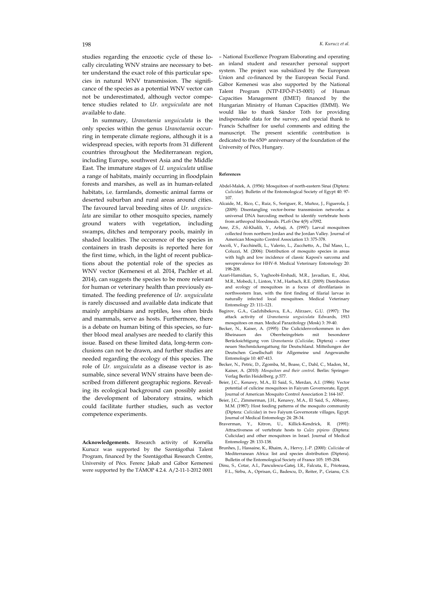studies regarding the enzootic cycle of these locally circulating WNV strains are necessary to better understand the exact role of this particular species in natural WNV transmission. The significance of the species as a potential WNV vector can not be underestimated, although vector competence studies related to *Ur. unguiculata* are not available to date.

In summary, *Uranotaenia unguiculata* is the only species within the genus *Uranotaenia* occurring in temperate climate regions, although it is a widespread species, with reports from 31 different countries throughout the Mediterranean region, including Europe, southwest Asia and the Middle East. The immature stages of *U. unguiculata* utilise a range of habitats, mainly occurring in floodplain forests and marshes, as well as in human-related habitats, i.e. farmlands, domestic animal farms or deserted suburban and rural areas around cities. The favoured larval breeding sites of *Ur. unguiculata* are similar to other mosquito species, namely ground waters with vegetation, including swamps, ditches and temporary pools, mainly in shaded localities. The occurence of the species in containers in trash deposits is reported here for the first time, which, in the light of recent publications about the potential role of the species as WNV vector (Kemenesi et al. 2014, Pachler et al. 2014), can suggests the species to be more relevant for human or veterinary health than previously estimated. The feeding preference of *Ur. unguiculata* is rarely discussed and available data indicate that mainly amphibians and reptiles, less often birds and mammals, serve as hosts. Furthermore, there is a debate on human biting of this species, so further blood meal analyses are needed to clarify this issue. Based on these limited data, long-term conclusions can not be drawn, and further studies are needed regarding the ecology of this species. The role of *Ur. unguiculata* as a disease vector is assumable, since several WNV strains have been described from different geographic regions. Revealing its ecological background can possibly assist the development of laboratory strains, which could facilitate further studies, such as vector competence experiments.

**Acknowledgements.** Research activity of Kornélia Kurucz was supported by the Szentágothai Talent Program, financed by the Szentágothai Research Centre, University of Pécs. Ferenc Jakab and Gábor Kemenesi were supported by the TÁMOP 4.2.4. A/2-11-1-2012 0001

– National Excellence Program Elaborating and operating an inland student and researcher personal support system. The project was subsidized by the European Union and co-financed by the European Social Fund. Gábor Kemenesi was also supported by the National Talent Program (NTP-EFÖ-P-15-0001) of Human Capacities Management (EMET) financed by the Hungarian Ministry of Human Capacities (EMMI). We would like to thank Sándor Tóth for providing indispensable data for the survey, and special thank to Francis Schaffner for useful comments and editing the manuscript. The present scientific contribution is dedicated to the 650<sup>th</sup> anniversary of the foundation of the University of Pécs, Hungary.

#### **References**

- Abdel-Malek, A. (1956): Mosquitoes of north-eastern Sinai (Diptera: *Culicidae*). Bulletin of the Entomological Society of Egypt 40: 97- 107.
- Alcaide, M., Rico, C., Ruiz, S., Soriguer, R., Muñoz, J., Figuerola, J. (2009): Disentangling vector-borne transmission networks: a universal DNA barcoding method to identify vertebrate hosts from arthropod bloodmeals. PLoS One 4(9): e7092.
- Amr, Z.S., Al-Khalili, Y., Arbaji, A. (1997): Larval mosquitoes collected from northern Jordan and the Jordan Valley. Journal of American Mosquito Control Association 13: 375-378.
- Ascoli, V., Facchinelli, L., Valerio, L., Zucchetto, A., Dal Maso, L., Coluzzi, M. (2006): Distribution of mosquito species in areas with high and low incidence of classic Kaposi's sarcoma and seroprevalence for HHV-8. Medical Veterinary Entomology 20: 198-208.
- Azari-Hamidian, S., Yaghoobi-Ershadi, M.R., Javadian, E., Abai, M.R., Mobedi, I., Linton, Y.M., Harbach, R.E. (2009): Distribution and ecology of mosquitoes in a focus of dirofilariasis in northwestern Iran, with the first finding of filarial larvae in naturally infected local mosquitoes. Medical Veterinary Entomology 23: 111–121.
- Bagirov, G.A., Gadzhibekova, E.A., Alirzaev, G.U. (1997): The attack activity of *Uranotaenia unguiculata* Edwards, 1913 mosquitoes on man. Medical Parazitology (Mosk) 3: 39-40.
- Becker, N., Kaiser, A. (1995): Die Culicidenvorkommen in den Rheinauen des Oberrheingebiets mit besonderer Berücksichtigung von *Uranotaenia* (*Culicidae*, Diptera) – einer neuen Stechmückengattung für Deutschland. Mitteilungen der Deutschen Gesellschaft für Allgemeine und Angewandte Entomologie 10: 407-413.
- Becker, N., Petric, D., Zgomba, M., Boase, C., Dahl, C., Madon, M., Kaiser, A. (2010): *Mosquitoes and their control*. Berlin: Springer-Verlag Berlin Heidelberg. p.577.
- Beier, J.C., Kenawy, M.A., El Said, S., Merdan, A.I. (1986): Vector potential of culicine mosquitoes in Faiyum Governorate, Egypt. Journal of American Mosquito Control Association 2: 164-167.
- Beier, J.C., Zimmerman, J.H., Kenawy, M.A., El Said, S., Abbassy, M.M. (1987): Host feeding patterns of the mosquito community (Diptera: *Culicidae*) in two Faiyum Governorate villages, Egypt. Journal of Medical Entomology 24: 28-34.
- Braverman, Y., Kitron, U., Killick-Kendrick, R. (1991): Attractiveness of vertebrate hosts to *Culex pipiens* (Diptera: Culicidae) and other mosquitoes in Israel. Journal of Medical Entomology 28: 133-138.
- Brunhes, J., Hassaine, K., Rhaim, A., Hervy, J.-P. (2000): *Culicidae* of Mediterranean Africa: list and species distribution (Diptera). Bulletin of the Entomological Society of France 105: 195-204.
- Dinu, S., Cotar, A.I., Panculescu-Gatej, I.R., Falcuta, E., Prioteasa, F.L., Sirbu, A., Oprisan, G., Badescu, D., Reiter, P., Ceianu, C.S.